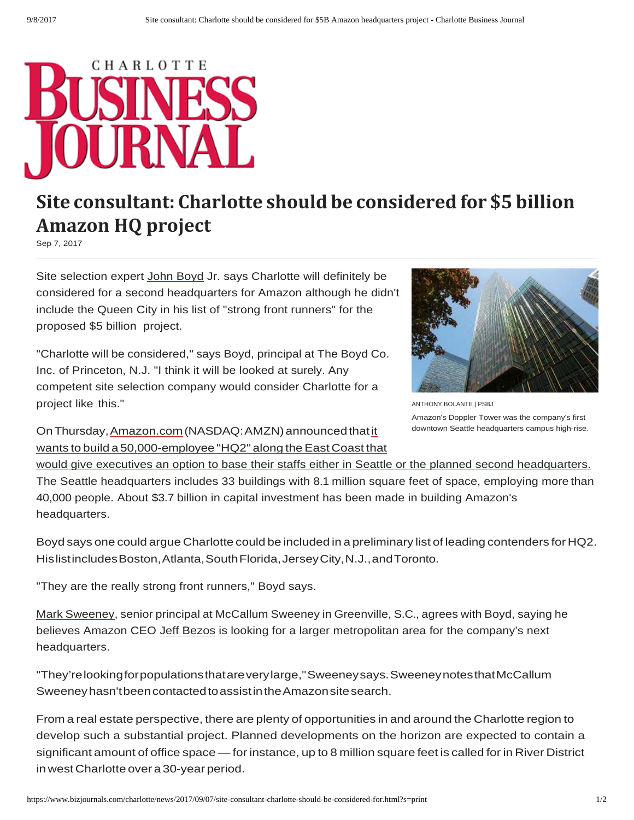

## **Site consultant: Charlotte should be considered for \$5 billion Amazon HQ project**

Sep 7, 2017

Site selection expert John Boyd Jr. says Charlotte will definitely be considered for a second headquarters for Amazon although he didn't include the Queen City in his list of "strong front runners" for the proposed \$5 billion project.

"Charlotte will be considered," says Boyd, principal at The Boyd Co. Inc. of Princeton, N.J. "I think it will be looked at surely. Any competent site selection company would consider Charlotte for a project like this."



ANTHONY BOLANTE | PSBJ Amazon's Doppler Tower was the company's first downtown Seattle headquarters campus high-rise.

On Thursday, Amazon.com (NASDAQ: AMZN) announced that it wants to build a 50,000-employee "HQ2" along the East Coast that

would give executives an option to base their staffs either in Seattle or the planned second headquarters. The Seattle headquarters includes 33 buildings with 8.1 million square feet of space, employing more than 40,000 people. About \$3.7 billion in capital investment has been made in building Amazon's headquarters.

Boyd says one could argue Charlotte could be included in a preliminary list of leading contenders for HQ2. His list includes Boston, Atlanta, South Florida, Jersey City, N.J., and Toronto.

"They are the really strong front runners," Boyd says.

Mark Sweeney, senior principal at McCallum Sweeney in Greenville, S.C., agrees with Boyd, saying he believes Amazon CEO Jeff Bezos is looking for a larger metropolitan area for the company's next headquarters.

"They're looking for populations that are very large," Sweeney says. Sweeney notes that McCallum Sweeney hasn't been contacted to assist in the Amazon site search.

From a real estate perspective, there are plenty of opportunities in and around the Charlotte region to develop such a substantial project. Planned developments on the horizon are expected to contain a significant amount of office space — for instance, up to 8 million square feet is called for in River District in west Charlotte over a 30-year period.